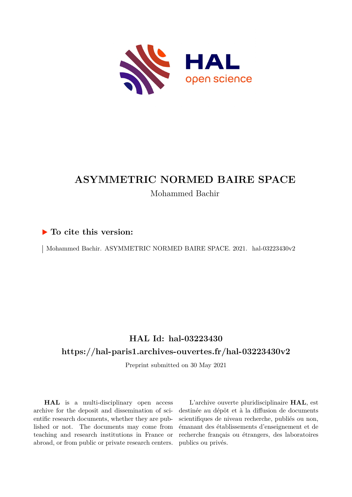

# **ASYMMETRIC NORMED BAIRE SPACE** Mohammed Bachir

### **To cite this version:**

| Mohammed Bachir. ASYMMETRIC NORMED BAIRE SPACE. 2021. hal-03223430v2

## **HAL Id: hal-03223430 <https://hal-paris1.archives-ouvertes.fr/hal-03223430v2>**

Preprint submitted on 30 May 2021

**HAL** is a multi-disciplinary open access archive for the deposit and dissemination of scientific research documents, whether they are published or not. The documents may come from teaching and research institutions in France or abroad, or from public or private research centers.

L'archive ouverte pluridisciplinaire **HAL**, est destinée au dépôt et à la diffusion de documents scientifiques de niveau recherche, publiés ou non, émanant des établissements d'enseignement et de recherche français ou étrangers, des laboratoires publics ou privés.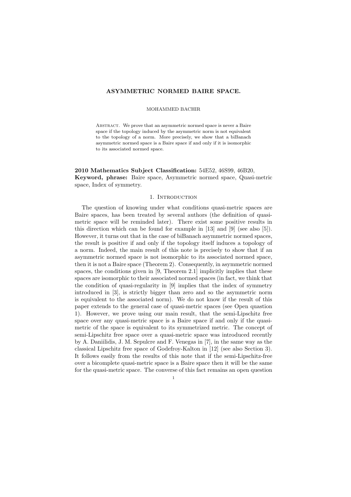#### ASYMMETRIC NORMED BAIRE SPACE.

#### MOHAMMED BACHIR

ABSTRACT. We prove that an asymmetric normed space is never a Baire space if the topology induced by the asymmetric norm is not equivalent to the topology of a norm. More precisely, we show that a biBanach asymmetric normed space is a Baire space if and only if it is isomorphic to its associated normed space.

2010 Mathematics Subject Classification: 54E52, 46S99, 46B20, Keyword, phrase: Baire space, Asymmetric normed space, Quasi-metric space, Index of symmetry.

### 1. INTRODUCTION

The question of knowing under what conditions quasi-metric spaces are Baire spaces, has been treated by several authors (the definition of quasimetric space will be reminded later). There exist some positive results in this direction which can be found for example in [13] and [9] (see also [5]). However, it turns out that in the case of biBanach asymmetric normed spaces, the result is positive if and only if the topology itself induces a topology of a norm. Indeed, the main result of this note is precisely to show that if an asymmetric normed space is not isomorphic to its associated normed space, then it is not a Baire space (Theorem 2). Consequently, in asymmetric normed spaces, the conditions given in [9, Theorem 2.1] implicitly implies that these spaces are isomorphic to their associated normed spaces (in fact, we think that the condition of quasi-regularity in [9] implies that the index of symmetry introduced in [3], is strictly bigger than zero and so the asymmetric norm is equivalent to the associated norm). We do not know if the result of this paper extends to the general case of quasi-metric spaces (see Open quastion 1). However, we prove using our main result, that the semi-Lipschitz free space over any quasi-metric space is a Baire space if and only if the quasimetric of the space is equivalent to its symmetrized metric. The concept of semi-Lipschitz free space over a quasi-metric space was introduced recently by A. Daniilidis, J. M. Sepulcre and F. Venegas in [7], in the same way as the classical Lipschitz free space of Godefroy-Kalton in [12] (see also Section 3). It follows easily from the results of this note that if the semi-Lipschitz-free over a bicomplete quasi-metric space is a Baire space then it will be the same for the quasi-metric space. The converse of this fact remains an open question

1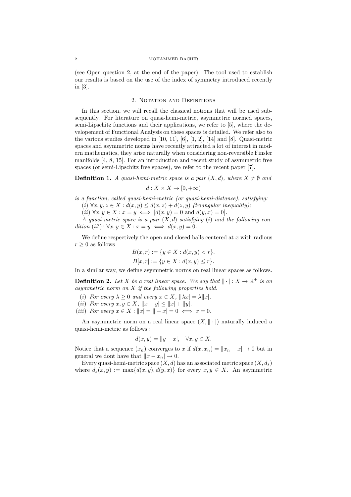#### 2 MOHAMMED BACHIR

(see Open question 2, at the end of the paper). The tool used to establish our results is based on the use of the index of symmetry introduced recently in [3].

#### 2. NOTATION AND DEFINITIONS

In this section, we will recall the classical notions that will be used subsequently. For literature on quasi-hemi-metric, asymmetric normed spaces, semi-Lipschitz functions and their applications, we refer to [5], where the developement of Functional Analysis on these spaces is detailed. We refer also to the various studies developed in [10, 11], [6], [1, 2], [14] and [8]. Quasi-metric spaces and asymmetric norms have recently attracted a lot of interest in modern mathematics, they arise naturally when considering non-reversible Finsler manifolds [4, 8, 15]. For an introduction and recent study of asymmetric free spaces (or semi-Lipschitz free spaces), we refer to the recent paper [7].

**Definition 1.** A quasi-hemi-metric space is a pair  $(X, d)$ , where  $X \neq \emptyset$  and

 $d: X \times X \rightarrow [0, +\infty)$ 

is a function, called quasi-hemi-metric (or quasi-hemi-distance), satisfying: (i)  $\forall x, y, z \in X : d(x, y) \leq d(x, z) + d(z, y)$  (triangular inequality);

(ii)  $\forall x, y \in X : x = y \iff [d(x, y) = 0 \text{ and } d(y, x) = 0].$ 

A quasi-metric space is a pair  $(X, d)$  satisfying (i) and the following condition  $(ii')$ :  $\forall x, y \in X : x = y \iff d(x, y) = 0.$ 

We define respectively the open and closed balls centered at  $x$  with radious  $r \geq 0$  as follows

$$
B(x,r) := \{ y \in X : d(x,y) < r \}.
$$
  

$$
B[x,r] := \{ y \in X : d(x,y) \le r \}.
$$

In a similar way, we define asymmetric norms on real linear spaces as follows.

**Definition 2.** Let X be a real linear space. We say that  $\|\cdot\|: X \to \mathbb{R}^+$  is an asymmetric norm on X if the following properties hold.

- (i) For every  $\lambda \geq 0$  and every  $x \in X$ ,  $\|\lambda x\| = \lambda \|x\|.$
- (*ii*) For every  $x, y \in X$ ,  $||x + y|| \le ||x| + ||y||$ .
- (iii) For every  $x \in X : ||x| = || -x| = 0 \iff x = 0.$

An asymmetric norm on a real linear space  $(X, \|\cdot\|)$  naturally induced a quasi-hemi-metric as follows :

$$
d(x, y) = ||y - x|, \quad \forall x, y \in X.
$$

Notice that a sequence  $(x_n)$  converges to x if  $d(x, x_n) = ||x_n - x|| \to 0$  but in general we dont have that  $||x - x_n|| \to 0$ .

Every quasi-hemi-metric space  $(X, d)$  has an associated metric space  $(X, d_s)$ where  $d_s(x, y) := \max\{d(x, y), d(y, x)\}\)$  for every  $x, y \in X$ . An asymmetric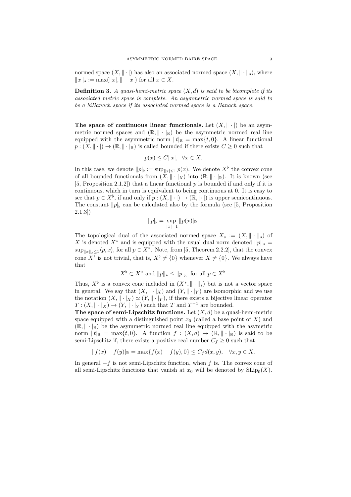normed space  $(X, \|\cdot\|)$  has also an associated normed space  $(X, \|\cdot\|_s)$ , where  $||x||_s := \max(||x|, || - x|)$  for all  $x \in X$ .

**Definition 3.** A quasi-hemi-metric space  $(X, d)$  is said to be bicomplete if its associated metric space is complete. An asymmetric normed space is said to be a biBanach space if its associated normed space is a Banach space.

The space of continuous linear functionals. Let  $(X, \|\cdot\|)$  be an asymmetric normed spaces and  $(\mathbb{R}, \|\cdot\|_{\mathbb{R}})$  be the asymmetric normed real line equipped with the asymmetric norm  $||t|_{\mathbb{R}} = \max\{t, 0\}$ . A linear functional  $p:(X, \|\cdot\|) \to (\mathbb{R}, \|\cdot\|_{\mathbb{R}})$  is called bounded if there exists  $C \geq 0$  such that

$$
p(x) \le C||x|, \ \forall x \in X.
$$

In this case, we denote  $||p||_{\flat} := \sup_{||x|| \leq 1} p(x)$ . We denote  $X^{\flat}$  the convex cone of all bounded functionals from  $(X, \|\cdot\|_X)$  into  $(\mathbb{R}, \|\cdot\|_{\mathbb{R}})$ . It is known (see [5, Proposition 2.1.2]) that a linear functional  $p$  is bounded if and only if it is continuous, which in turn is equivalent to being continuous at 0. It is easy to see that  $p \in X^{\flat}$ , if and only if  $p : (X, \|\cdot\|) \to (\mathbb{R}, \|\cdot\|)$  is upper semicontinuous. The constant  $||p||_b$  can be calculated also by the formula (see [5, Proposition 2.1.3])

$$
||p||_{\flat} = \sup_{||x|=1} ||p(x)||_{\mathbb{R}}.
$$

The topological dual of the associated normed space  $X_s := (X, \|\cdot\|_s)$  of X is denoted  $X^*$  and is equipped with the usual dual norm denoted  $||p||_* =$  $\sup_{\|x\|_{s}\leq 1} \langle p, x \rangle$ , for all  $p \in X^*$ . Note, from [5, Theorem 2.2.2], that the convex cone  $X^{\flat}$  is not trivial, that is,  $X^{\flat} \neq \{0\}$  whenever  $X \neq \{0\}$ . We always have that

$$
X^{\flat} \subset X^*
$$
 and  $||p||_* \le ||p||_{\flat}$ , for all  $p \in X^{\flat}$ .

Thus,  $X^{\flat}$  is a convex cone included in  $(X^*, \|\cdot\|_*)$  but is not a vector space in general. We say that  $(X, \|\cdot\|_X)$  and  $(Y, \|\cdot\|_Y)$  are isomorphic and we use the notation  $(X, \|\cdot\|_X) \simeq (Y, \|\cdot\|_Y)$ , if there exists a bijective linear operator  $T: (X, \|\cdot\|_X) \to (Y, \|\cdot\|_Y)$  such that T and  $T^{-1}$  are bounded.

The space of semi-Lipschitz functions. Let  $(X, d)$  be a quasi-hemi-metric space equipped with a distinguished point  $x_0$  (called a base point of X) and  $(\mathbb{R}, \|\cdot\|_{\mathbb{R}})$  be the asymmetric normed real line equipped with the asymetric norm  $||t||_R = \max\{t, 0\}$ . A function  $f : (X, d) \to (\mathbb{R}, ||\cdot||_{\mathbb{R}})$  is said to be semi-Lipschitz if, there exists a positive real number  $C_f \geq 0$  such that

$$
||f(x) - f(y)||_{\mathbb{R}} = \max\{f(x) - f(y), 0\} \le C_f d(x, y), \quad \forall x, y \in X.
$$

In general  $-f$  is not semi-Lipschitz function, when f is. The convex cone of all semi-Lipschitz functions that vanish at  $x_0$  will be denoted by  $\text{SLip}_0(X)$ .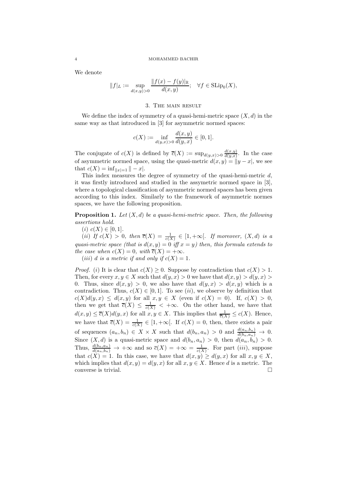#### 4 MOHAMMED BACHIR

We denote

$$
||f||_{L} := \sup_{d(x,y)>0} \frac{||f(x) - f(y)||_{\mathbb{R}}}{d(x,y)}; \quad \forall f \in \text{SLip}_0(X),
$$

#### 3. The main result

We define the index of symmetry of a quasi-hemi-metric space  $(X, d)$  in the same way as that introduced in [3] for asymmetric normed spaces:

$$
c(X) := \inf_{d(y,x) > 0} \frac{d(x,y)}{d(y,x)} \in [0,1].
$$

The conjugate of  $c(X)$  is defined by  $\overline{c}(X) := \sup_{d(y,x)>0} \frac{d(x,y)}{d(y,x)}$  $\frac{d(x,y)}{d(y,x)}$ . In the case of asymmetric normed space, using the quasi-metric  $d(x, y) = ||y - x||$ , we see that  $c(X) = \inf_{\|x\|=1} \| - x|.$ 

This index measures the degree of symmetry of the quasi-hemi-metric  $d$ , it was firstly introduced and studied in the assymetric normed space in [3], where a topological classification of asymmetric normed spaces has been given according to this index. Similarly to the framework of asymmetric normes spaces, we have the following proposition.

**Proposition 1.** Let  $(X, d)$  be a quasi-hemi-metric space. Then, the following assertions hold.

(i)  $c(X) \in [0,1].$ 

(ii) If  $c(X) > 0$ , then  $\overline{c}(X) = \frac{1}{c(X)} \in [1, +\infty[$ . If moreover,  $(X, d)$  is a quasi-metric space (that is  $d(x, y) = 0$  iff  $x = y$ ) then, this formula extends to the case when  $c(X) = 0$ , with  $\overline{c}(X) = +\infty$ .

(*iii*) d is a metric if and only if  $c(X) = 1$ .

*Proof.* (i) It is clear that  $c(X) \geq 0$ . Suppose by contradiction that  $c(X) \geq 1$ . Then, for every  $x, y \in X$  such that  $d(y, x) > 0$  we have that  $d(x, y) > d(y, x) >$ 0. Thus, since  $d(x, y) > 0$ , we also have that  $d(y, x) > d(x, y)$  which is a contradiction. Thus,  $c(X) \in [0,1]$ . To see (ii), we observe by definition that  $c(X)d(y,x) \leq d(x,y)$  for all  $x,y \in X$  (even if  $c(X) = 0$ ). If,  $c(X) > 0$ , then we get that  $\overline{c}(X) \leq \frac{1}{c(X)} < +\infty$ . On the other hand, we have that  $d(x, y) \leq \overline{c}(X) d(y, x)$  for all  $x, y \in X$ . This implies that  $\frac{1}{\overline{c}(X)} \leq c(X)$ . Hence, we have that  $\overline{c}(X) = \frac{1}{c(X)} \in [1, +\infty[$ . If  $c(X) = 0$ , then, there exists a pair of sequences  $(a_n, b_n) \in X \times X$  such that  $d(b_n, a_n) > 0$  and  $\frac{d(a_n, b_n)}{d(b_n, a_n)} \to 0$ . Since  $(X, d)$  is a quasi-metric space and  $d(b_n, a_n) > 0$ , then  $d(a_n, b_n) > 0$ . Thus,  $\frac{d(b_n,a_n)}{d(a_n,b_n)} \to +\infty$  and so  $\overline{c}(X) = +\infty = \frac{1}{c(X)}$ . For part *(iii)*, suppose that  $c(X) = 1$ . In this case, we have that  $d(x, y) \geq d(y, x)$  for all  $x, y \in X$ , which implies that  $d(x, y) = d(y, x)$  for all  $x, y \in X$ . Hence d is a metric. The converse is trivial.  $\Box$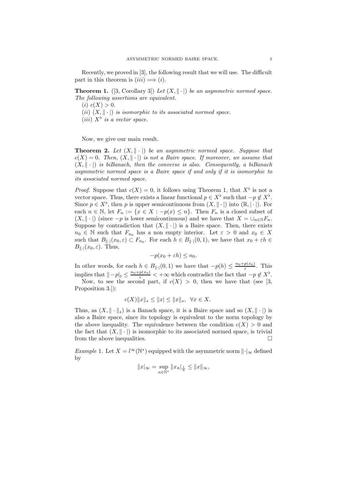Recently, we proved in [3], the following result that we will use. The difficult part in this theorem is  $(iii) \implies (i)$ .

**Theorem 1.** ([3, Corollary 3]) Let  $(X, \|\cdot\|)$  be an asymmetric normed space. The following assertions are equivalent.

- (*i*)  $c(X) > 0$ .
- (ii)  $(X, \|\cdot\|)$  is isomorphic to its associated normed space.
- (*iii*)  $X^{\flat}$  *is a vector space.*

Now, we give our main result.

**Theorem 2.** Let  $(X, \|\cdot\|)$  be an asymmetric normed space. Suppose that  $c(X) = 0$ . Then,  $(X, \|\cdot\|)$  is not a Baire space. If moreover, we assume that  $(X, \|\cdot\|)$  is biBanach, then the converse is also. Consequently, a biBanach asymmetric normed space is a Baire space if and only if it is isomorphic to its associated normed space.

*Proof.* Suppose that  $c(X) = 0$ , it follows using Theorem 1, that  $X^{\flat}$  is not a vector space. Thus, there exists a linear functional  $p \in X^{\flat}$  such that  $-p \notin X^{\flat}$ . Since  $p \in X^{\flat}$ , then p is upper semicontinuous from  $(X, \|\cdot\|)$  into  $(\mathbb{R}, |\cdot|)$ . For each  $n \in \mathbb{N}$ , let  $F_n := \{x \in X : -p(x) \leq n\}$ . Then  $F_n$  is a closed subset of  $(X, \|\cdot\|)$  (since  $-p$  is lower semicontinuous) and we have that  $X = \bigcup_{n \in \mathbb{N}} F_n$ . Suppose by contradiction that  $(X, \|\cdot\|)$  is a Baire space. Then, there exists  $n_0 \in \mathbb{N}$  such that  $F_{n_0}$  has a non empty interior. Let  $\varepsilon > 0$  and  $x_0 \in X$ such that  $B_{\|\cdot\|}(x_0,\varepsilon) \subset F_{n_0}$ . For each  $h \in B_{\|\cdot\|}(0,1)$ , we have that  $x_0 + \varepsilon h \in$  $B_{\|\cdot\|}(x_0,\varepsilon)$ . Thus,

$$
-p(x_0 + \varepsilon h) \le n_0.
$$

In other words, for each  $h \in B_{\|\cdot\|}(0,1)$  we have that  $-p(h) \leq \frac{n_0+p(x_0)}{\varepsilon}$  $\frac{p(x_0)}{\varepsilon}$ . This implies that  $||-p||_b \leq \frac{n_0+p(x_0)}{\varepsilon} < +\infty$  which contradict the fact that  $-p \notin X^{\flat}$ .

Now, to see the second part, if  $c(X) > 0$ , then we have that (see [3, Proposition 3.]):

$$
c(X) \|x\|_{s} \le \|x\| \le \|x\|_{s}, \ \ \forall x \in X.
$$

Thus, as  $(X, \|\cdot\|_s)$  is a Banach space, it is a Baire space and so  $(X, \|\cdot\|)$  is also a Baire space, since its topology is equivalent to the norm topology by the above inequality. The equivalence between the condition  $c(X) > 0$  and the fact that  $(X, \|\cdot\|)$  is isomorphic to its associated normed space, is trivial from the above inequalities.  $\Box$ 

*Example 1.* Let  $X = l^{\infty}(\mathbb{N}^*)$  equipped with the asymmetric norm  $\lVert \cdot \rVert_{\infty}$  defined by

$$
||x|_{\infty} = \sup_{n \in \mathbb{N}^*} ||x_n|_{\frac{1}{n}} \le ||x||_{\infty},
$$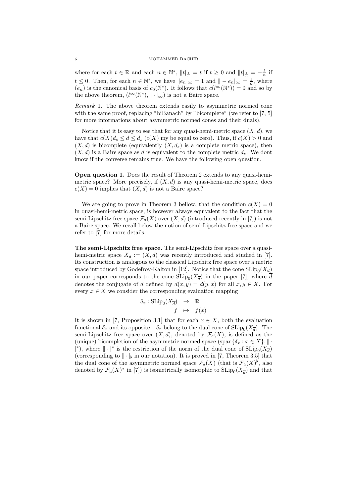#### 6 MOHAMMED BACHIR

where for each  $t \in \mathbb{R}$  and each  $n \in \mathbb{N}^*$ ,  $||t||_{\frac{1}{n}} = t$  if  $t \geq 0$  and  $||t||_{\frac{1}{n}} = -\frac{t}{n}$  if  $t \leq 0$ . Then, for each  $n \in \mathbb{N}^*$ , we have  $||e_n||_{\infty} = 1$  and  $||-e_n||_{\infty} = \frac{1}{n}$ , where  $(e_n)$  is the canonical basis of  $c_0(\mathbb{N}^*)$ . It follows that  $c(l^{\infty}(\mathbb{N}^*))=0$  and so by the above theorem,  $(l^{\infty}(\mathbb{N}^*), \|\cdot|_{\infty})$  is not a Baire space.

Remark 1. The above theorem extends easily to asymmetric normed cone with the same proof, replacing "biBanach" by "bicomplete" (we refer to [7, 5] for more informations about asymmetric normed cones and their duals).

Notice that it is easy to see that for any quasi-hemi-metric space  $(X, d)$ , we have that  $c(X)d_s \leq d \leq d_s$   $(c(X)$  my be equal to zero). Thus, if  $c(X) > 0$  and  $(X, d)$  is bicomplete (equivalently  $(X, d_s)$  is a complete metric space), then  $(X, d)$  is a Baire space as d is equivalent to the complete metric  $d_s$ . We dont know if the converse remains true. We have the following open question.

Open question 1. Does the result of Theorem 2 extends to any quasi-hemimetric space? More precisely, if  $(X, d)$  is any quasi-hemi-metric space, does  $c(X) = 0$  implies that  $(X, d)$  is not a Baire space?

We are going to prove in Theorem 3 bellow, that the condition  $c(X) = 0$ in quasi-hemi-metric space, is however always equivalent to the fact that the semi-Lipschitz free space  $\mathcal{F}_a(X)$  over  $(X, d)$  (introduced recently in [7]) is not a Baire space. We recall below the notion of semi-Lipschitz free space and we refer to [7] for more details.

The semi-Lipschitz free space. The semi-Lipschitz free space over a quasihemi-metric space  $X_d := (X, d)$  was recently introduced and studied in [7]. Its construction is analogous to the classical Lipschitz free space over a metric space introduced by Godefroy-Kalton in [12]. Notice that the cone  $\text{SLip}_0(X_d)$ in our paper corresponds to the cone  $\text{SLip}_0(X_{\overline{d}})$  in the paper [7], where d denotes the conjugate of d defined by  $\overline{d}(x, y) = d(y, x)$  for all  $x, y \in X$ . For every  $x \in X$  we consider the corresponding evaluation mapping

$$
\delta_x : \text{SLip}_0(X_{\overline{d}}) \rightarrow \mathbb{R}
$$
  

$$
f \mapsto f(x)
$$

It is shown in [7, Proposition 3.1] that for each  $x \in X$ , both the evaluation functional  $\delta_x$  and its opposite  $-\delta_x$  belong to the dual cone of  $\text{SLip}_0(X_{\overline{d}})$ . The semi-Lipschitz free space over  $(X, d)$ , denoted by  $\mathcal{F}_a(X)$ , is defined as the (unique) bicompletion of the asymmetric normed space (span $\{\delta_x : x \in X\}, \| \cdot \|$ |\*), where  $\| \cdot |^*$  is the restriction of the norm of the dual cone of  ${\rm SLip}_0(X_{\overline{d}})$ (corresponding to  $\|\cdot\|_b$  in our notation). It is proved in [7, Theorem 3.5] that the dual cone of the asymmetric normed space  $\mathcal{F}_a(X)$  (that is  $\mathcal{F}_a(X)^{\flat}$ , also denoted by  $\mathcal{F}_a(X)^*$  in [7]) is isometrically isomorphic to  $\mathrm{SLip}_0(X_{\overline{d}})$  and that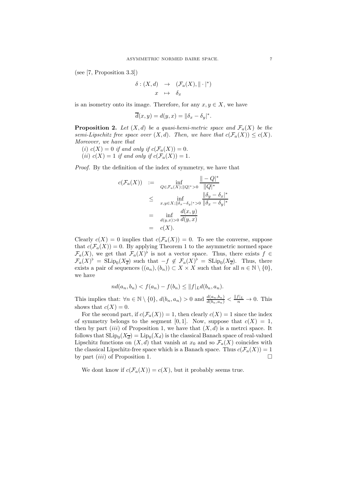(see [7, Proposition 3.3])

$$
\begin{array}{rcl} \delta : (X, d) & \rightarrow & (\mathcal{F}_a(X), \|\cdot\|^*) \\ x & \mapsto & \delta_x \end{array}
$$

is an isometry onto its image. Therefore, for any  $x, y \in X$ , we have

$$
\overline{d}(x,y) = d(y,x) = ||\delta_x - \delta_y|^*.
$$

**Proposition 2.** Let  $(X,d)$  be a quasi-hemi-metric space and  $\mathcal{F}_a(X)$  be the semi-Lipschitz free space over  $(X, d)$ . Then, we have that  $c(\mathcal{F}_a(X)) \leq c(X)$ . Moreover, we have that

(i)  $c(X) = 0$  if and only if  $c(\mathcal{F}_a(X)) = 0$ . (ii)  $c(X) = 1$  if and only if  $c(\mathcal{F}_a(X)) = 1$ .

Proof. By the definition of the index of symmetry, we have that

$$
c(\mathcal{F}_a(X)) := \inf_{Q \in \mathcal{F}_a(X); ||Q|^* > 0} \frac{|| - Q|^*}{||Q|^*}
$$
  
\n
$$
\leq \inf_{x,y \in X; ||\delta_x - \delta_y|^* > 0} \frac{||\delta_y - \delta_x|^*}{||\delta_x - \delta_y|^*}
$$
  
\n
$$
= \inf_{d(y,x) > 0} \frac{d(x,y)}{d(y,x)}
$$
  
\n
$$
= c(X).
$$

Clearly  $c(X) = 0$  implies that  $c(\mathcal{F}_a(X)) = 0$ . To see the converse, suppose that  $c(\mathcal{F}_a(X)) = 0$ . By applying Theorem 1 to the asymmetric normed space  $\mathcal{F}_a(X)$ , we get that  $\mathcal{F}_a(X)$ <sup>b</sup> is not a vector space. Thus, there exists  $f \in$  $\mathcal{F}_a(X)^\flat = \text{SLip}_0(X_{\overline{d}})$  such that  $-f \notin \mathcal{F}_a(X)^\flat = \text{SLip}_0(X_{\overline{d}})$ . Thus, there exists a pair of sequences  $((a_n), (b_n)) \subset X \times X$  such that for all  $n \in \mathbb{N} \setminus \{0\},$ we have

$$
nd(a_n, b_n) < f(a_n) - f(b_n) \leq ||f||_L d(b_n, a_n).
$$

This implies that:  $\forall n \in \mathbb{N} \setminus \{0\}$ ,  $d(b_n, a_n) > 0$  and  $\frac{d(a_n, b_n)}{d(b_n, a_n)} < \frac{||f||_L}{n} \to 0$ . This shows that  $c(X) = 0$ .

For the second part, if  $c(\mathcal{F}_a(X)) = 1$ , then clearly  $c(X) = 1$  since the index of symmetry belongs to the segment [0, 1]. Now, suppose that  $c(X) = 1$ , then by part *(iii)* of Proposition 1, we have that  $(X, d)$  is a metrci space. It follows that  $\text{SLip}_0(X_{\overline{d}}) = \text{Lip}_0(X_d)$  is the classical Banach space of real-valued Lipschitz functions on  $(X, d)$  that vanish at  $x_0$  and so  $\mathcal{F}_a(X)$  coincides with the classical Lipschitz-free space which is a Banach space. Thus  $c(\mathcal{F}_a(X)) = 1$ by part  $(iii)$  of Proposition 1.

We dont know if  $c(\mathcal{F}_a(X)) = c(X)$ , but it probably seems true.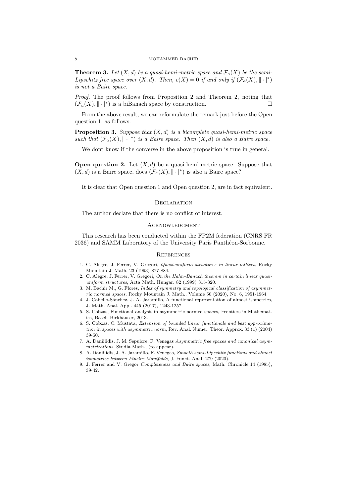**Theorem 3.** Let  $(X, d)$  be a quasi-hemi-metric space and  $\mathcal{F}_a(X)$  be the semi-Lipschitz free space over  $(X, d)$ . Then,  $c(X) = 0$  if and only if  $(\mathcal{F}_a(X), \|\cdot\|^*)$ is not a Baire space.

Proof. The proof follows from Proposition 2 and Theorem 2, noting that  $(\mathcal{F}_a(X), \|\cdot|^*)$  is a biBanach space by construction.

From the above result, we can reformulate the remark just before the Open question 1, as follows.

**Proposition 3.** Suppose that  $(X, d)$  is a bicomplete quasi-hemi-metric space such that  $(\mathcal{F}_a(X), \|\cdot\|^*)$  is a Baire space. Then  $(X, d)$  is also a Baire space.

We dont know if the converse in the above proposition is true in general.

**Open question 2.** Let  $(X, d)$  be a quasi-hemi-metric space. Suppose that  $(X, d)$  is a Baire space, does  $(\mathcal{F}_a(X), \|\cdot\|^*)$  is also a Baire space?

It is clear that Open question 1 and Open question 2, are in fact equivalent.

#### **DECLARATION**

The author declare that there is no conflict of interest.

#### **ACKNOWLEDGMENT**

This research has been conducted within the FP2M federation (CNRS FR 2036) and SAMM Laboratory of the University Paris Panthéon-Sorbonne.

#### **REFERENCES**

- 1. C. Alegre, J. Ferrer, V. Gregori, Quasi-uniform structures in linear lattices, Rocky Mountain J. Math. 23 (1993) 877-884.
- 2. C. Alegre, J. Ferrer, V. Gregori, On the Hahn–Banach theorem in certain linear quasiuniform structures, Acta Math. Hungar. 82 (1999) 315-320.
- 3. M. Bachir M., G. Flores, Index of symmetry and topological classification of asymmetric normed spaces, Rocky Mountain J. Math., Volume 50 (2020), No. 6, 1951-1964.
- 4. J. Cabello-S´anchez, J. A. Jaramillo, A functional representation of almost isometries, J. Math. Anal. Appl. 445 (2017), 1243-1257.
- 5. S. Cobzas, Functional analysis in asymmetric normed spaces, Frontiers in Mathematics, Basel: Birkhäuser, 2013.
- 6. S. Cobzas, C. Mustata, Extension of bounded linear functionals and best approximation in spaces with asymmetric norm, Rev. Anal. Numer. Theor. Approx. 33 (1) (2004) 39-50.
- 7. A. Daniilidis, J. M. Sepulcre, F. Venegas Asymmetric free spaces and canonical asymmetrizations, Studia Math., (to appear).
- 8. A. Daniilidis, J. A. Jaramillo, F. Venegas, Smooth semi-Lipschitz functions and almost isometries between Finsler Manifolds, J. Funct. Anal. 279 (2020).
- 9. J. Ferrer and V. Gregor Completeness and Baire spaces, Math. Chronicle 14 (1985), 39-42.